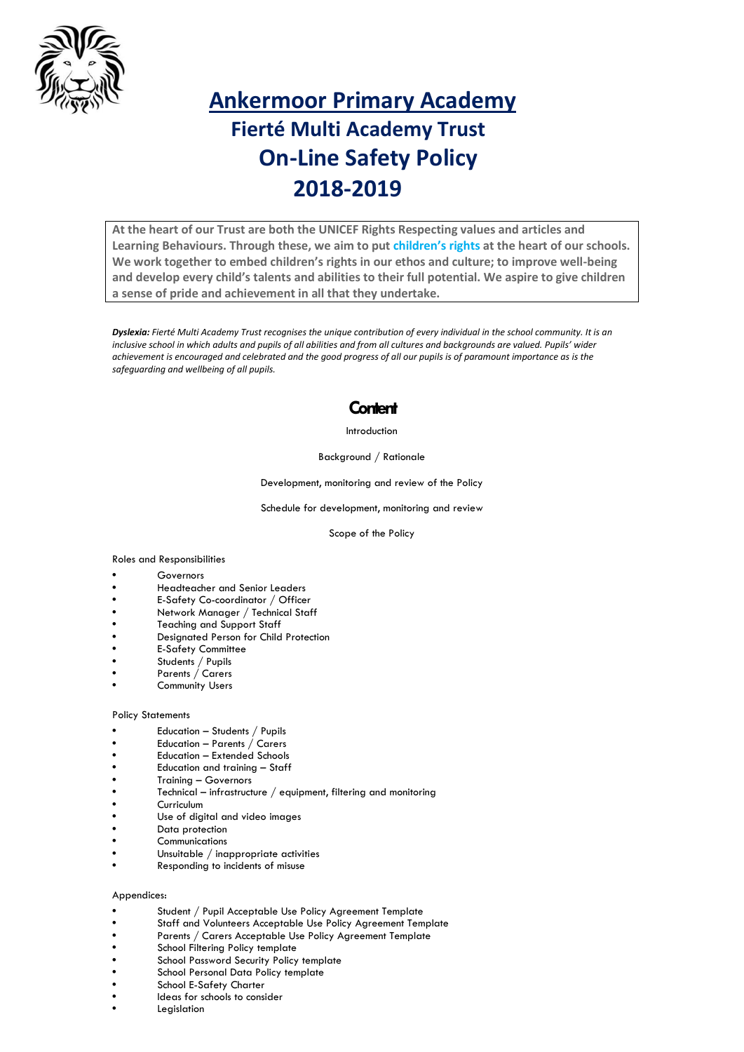

# **Ankermoor Primary Academy Fierté Multi Academy Trust On-Line Safety Policy 2018-2019**

**At the heart of our Trust are both the UNICEF Rights Respecting values and articles and Learning Behaviours. Through these, we aim to put [children's rights](http://www.unicef.org.uk/rights-respecting-schools/about-the-award/child-rights-in-schools/) at the heart of our schools. We work together to embed children's rights in our ethos and culture; to improve well-being and develop every child's talents and abilities to their full potential. We aspire to give children a sense of pride and achievement in all that they undertake.**

*Dyslexia: Fierté Multi Academy Trust recognises the unique contribution of every individual in the school community. It is an inclusive school in which adults and pupils of all abilities and from all cultures and backgrounds are valued. Pupils' wider achievement is encouraged and celebrated and the good progress of all our pupils is of paramount importance as is the safeguarding and wellbeing of all pupils.*

### **Content**

#### Introduction

#### Background / Rationale

Development, monitoring and review of the Policy

Schedule for development, monitoring and review

Scope of the Policy

#### Roles and Responsibilities

- Governors
- Headteacher and Senior Leaders
- E-Safety Co-coordinator / Officer
- Network Manager / Technical Staff
- Teaching and Support Staff
- Designated Person for Child Protection
- E-Safety Committee
- Students / Pupils
- Parents / Carers
- Community Users

#### Policy Statements

- Education Students / Pupils
- Education Parents / Carers
- Education Extended Schools
- Education and training Staff
- Training Governors
- Technical infrastructure / equipment, filtering and monitoring
- Curriculum
- Use of digital and video images
- Data protection
- Communications
- Unsuitable / inappropriate activities
- Responding to incidents of misuse

#### Appendices:

- Student / Pupil Acceptable Use Policy Agreement Template
- Staff and Volunteers Acceptable Use Policy Agreement Template
- Parents / Carers Acceptable Use Policy Agreement Template
- School Filtering Policy template
- School Password Security Policy template **•** School Personal Data Policy template
- School E-Safety Charter
- Ideas for schools to consider
- Legislation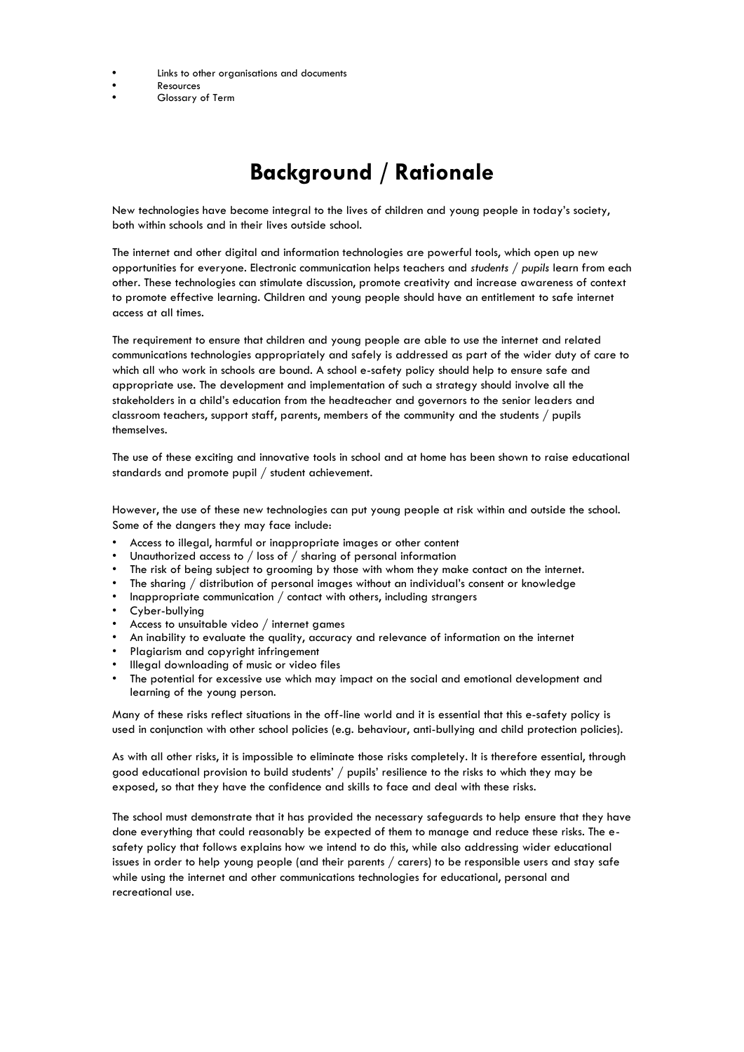- Links to other organisations and documents
- Resources
- Glossary of Term

# **Background / Rationale**

New technologies have become integral to the lives of children and young people in today's society, both within schools and in their lives outside school.

The internet and other digital and information technologies are powerful tools, which open up new opportunities for everyone. Electronic communication helps teachers and *students / pupils* learn from each other. These technologies can stimulate discussion, promote creativity and increase awareness of context to promote effective learning. Children and young people should have an entitlement to safe internet access at all times.

The requirement to ensure that children and young people are able to use the internet and related communications technologies appropriately and safely is addressed as part of the wider duty of care to which all who work in schools are bound. A school e-safety policy should help to ensure safe and appropriate use. The development and implementation of such a strategy should involve all the stakeholders in a child's education from the headteacher and governors to the senior leaders and classroom teachers, support staff, parents, members of the community and the students / pupils themselves.

The use of these exciting and innovative tools in school and at home has been shown to raise educational standards and promote pupil / student achievement.

However, the use of these new technologies can put young people at risk within and outside the school. Some of the dangers they may face include:

- Access to illegal, harmful or inappropriate images or other content
- Unauthorized access to / loss of / sharing of personal information
- The risk of being subject to grooming by those with whom they make contact on the internet.
- The sharing / distribution of personal images without an individual's consent or knowledge
- Inappropriate communication / contact with others, including strangers
- Cyber-bullying
- Access to unsuitable video / internet games
- An inability to evaluate the quality, accuracy and relevance of information on the internet
- Plagiarism and copyright infringement
- Illegal downloading of music or video files
- The potential for excessive use which may impact on the social and emotional development and learning of the young person.

Many of these risks reflect situations in the off-line world and it is essential that this e-safety policy is used in conjunction with other school policies (e.g. behaviour, anti-bullying and child protection policies).

As with all other risks, it is impossible to eliminate those risks completely. It is therefore essential, through good educational provision to build students' / pupils' resilience to the risks to which they may be exposed, so that they have the confidence and skills to face and deal with these risks.

The school must demonstrate that it has provided the necessary safeguards to help ensure that they have done everything that could reasonably be expected of them to manage and reduce these risks. The esafety policy that follows explains how we intend to do this, while also addressing wider educational issues in order to help young people (and their parents / carers) to be responsible users and stay safe while using the internet and other communications technologies for educational, personal and recreational use.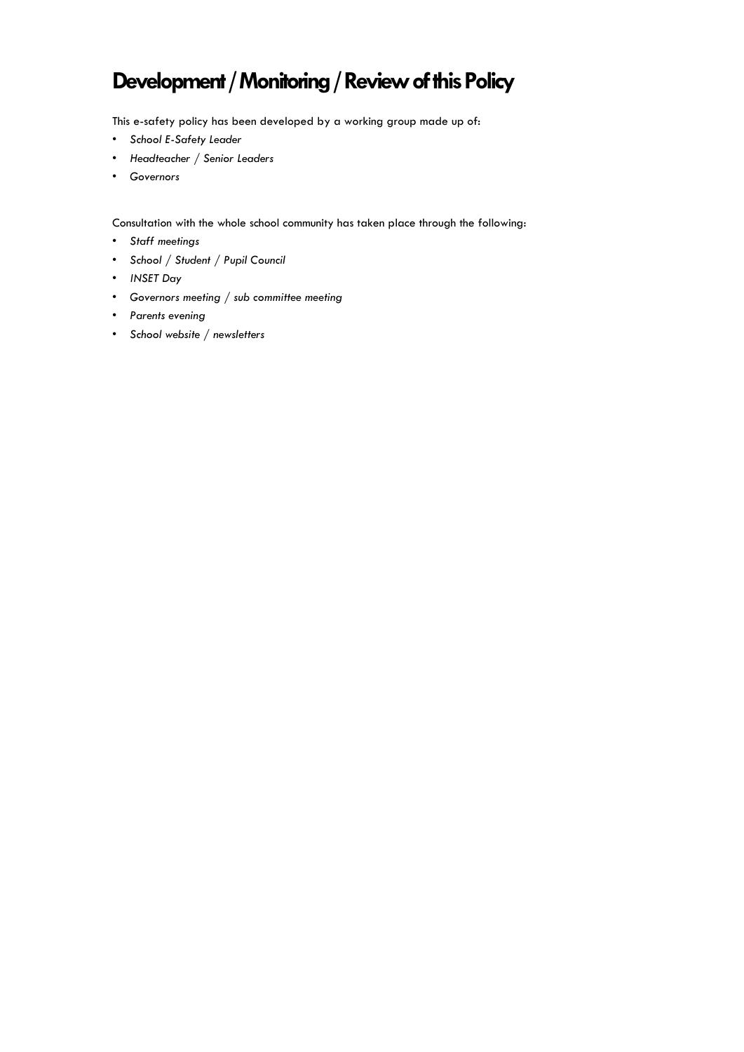## **Development / Monitoring / Review of this Policy**

This e-safety policy has been developed by a working group made up of:

- *• School E-Safety Leader*
- *• Headteacher / Senior Leaders*
- *• Governors*

Consultation with the whole school community has taken place through the following:

- *• Staff meetings*
- *• School / Student / Pupil Council*
- *• INSET Day*
- *• Governors meeting / sub committee meeting*
- *• Parents evening*
- *• School website / newsletters*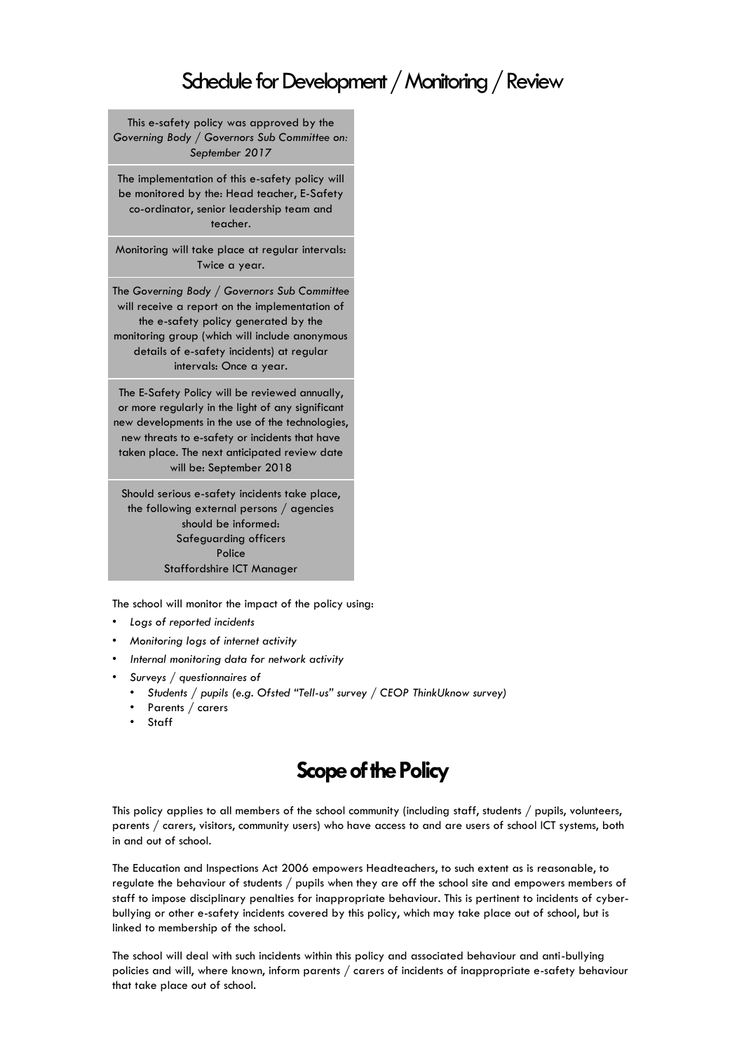## Schedule for Development / Monitoring / Review

This e-safety policy was approved by the *Governing Body / Governors Sub Committee on: September 2017*

The implementation of this e-safety policy will be monitored by the: Head teacher, E-Safety co-ordinator, senior leadership team and teacher.

Monitoring will take place at regular intervals: Twice a year.

The *Governing Body / Governors Sub Committee* will receive a report on the implementation of the e-safety policy generated by the monitoring group (which will include anonymous details of e-safety incidents) at regular intervals: Once a year.

The E-Safety Policy will be reviewed annually, or more regularly in the light of any significant new developments in the use of the technologies, new threats to e-safety or incidents that have taken place. The next anticipated review date will be: September 2018

Should serious e-safety incidents take place, the following external persons / agencies should be informed: Safeguarding officers Police Staffordshire ICT Manager

The school will monitor the impact of the policy using:

- *• Logs of reported incidents*
- *• Monitoring logs of internet activity*
- *• Internal monitoring data for network activity*
- *• Surveys / questionnaires of*
	- *• Students / pupils (e.g. Ofsted "Tell-us" survey / CEOP ThinkUknow survey)*
	- *•* Parents / carers
	- *•* Staff

### **Scope of the Policy**

This policy applies to all members of the school community (including staff, students / pupils, volunteers, parents / carers, visitors, community users) who have access to and are users of school ICT systems, both in and out of school.

The Education and Inspections Act 2006 empowers Headteachers, to such extent as is reasonable, to regulate the behaviour of students / pupils when they are off the school site and empowers members of staff to impose disciplinary penalties for inappropriate behaviour. This is pertinent to incidents of cyberbullying or other e-safety incidents covered by this policy, which may take place out of school, but is linked to membership of the school.

The school will deal with such incidents within this policy and associated behaviour and anti-bullying policies and will, where known, inform parents / carers of incidents of inappropriate e-safety behaviour that take place out of school.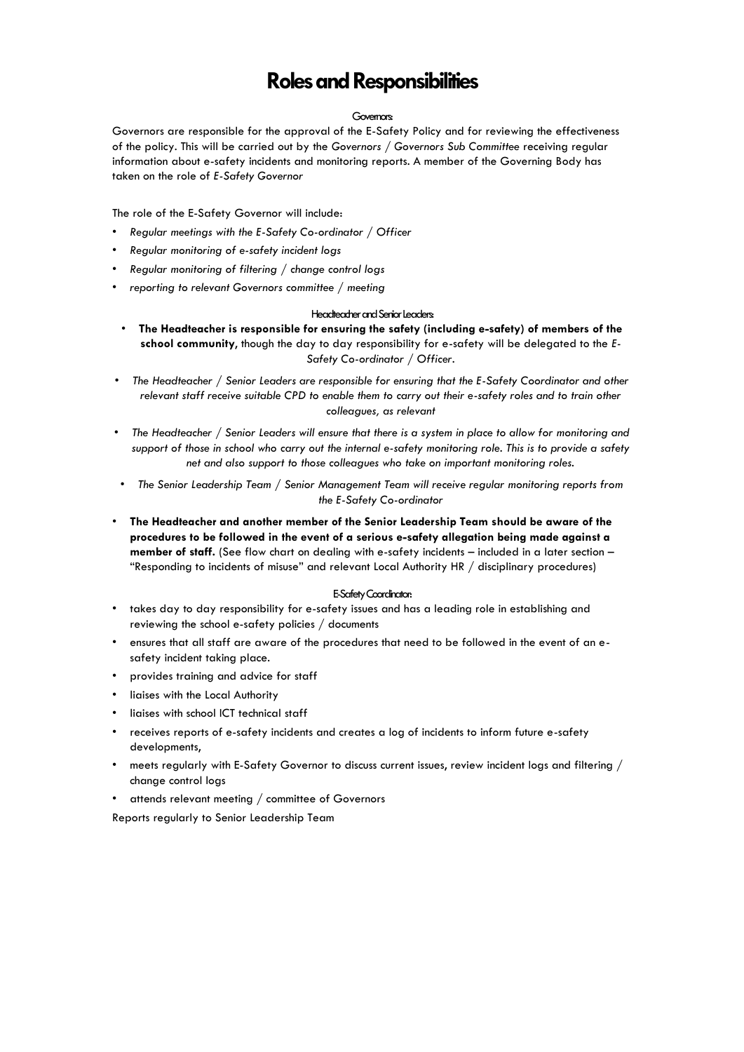## **Roles and Responsibilities**

#### Governors:

Governors are responsible for the approval of the E-Safety Policy and for reviewing the effectiveness of the policy. This will be carried out by the *Governors / Governors Sub Committee* receiving regular information about e-safety incidents and monitoring reports. A member of the Governing Body has taken on the role of *E-Safety Governor*

The role of the E-Safety Governor will include:

- *• Regular meetings with the E-Safety Co-ordinator / Officer*
- *• Regular monitoring of e-safety incident logs*
- *• Regular monitoring of filtering / change control logs*
- *• reporting to relevant Governors committee / meeting*

#### Headteacher and Senior Leaders:

- **The Headteacher is responsible for ensuring the safety (including e-safety) of members of the school community**, though the day to day responsibility for e-safety will be delegated to the *E-Safety Co-ordinator / Officer*.
- *• The Headteacher / Senior Leaders are responsible for ensuring that the E-Safety Coordinator and other relevant staff receive suitable CPD to enable them to carry out their e-safety roles and to train other colleagues, as relevant*
- *• The Headteacher / Senior Leaders will ensure that there is a system in place to allow for monitoring and support of those in school who carry out the internal e-safety monitoring role. This is to provide a safety net and also support to those colleagues who take on important monitoring roles.*
- *• The Senior Leadership Team / Senior Management Team will receive regular monitoring reports from the E-Safety Co-ordinator*
- **The Headteacher and another member of the Senior Leadership Team should be aware of the procedures to be followed in the event of a serious e-safety allegation being made against a member of staff.** (See flow chart on dealing with e-safety incidents – included in a later section – "Responding to incidents of misuse" and relevant Local Authority HR / disciplinary procedures)

#### E-Safety Coordinator:

- takes day to day responsibility for e-safety issues and has a leading role in establishing and reviewing the school e-safety policies / documents
- ensures that all staff are aware of the procedures that need to be followed in the event of an esafety incident taking place.
- provides training and advice for staff
- liaises with the Local Authority
- liaises with school ICT technical staff
- receives reports of e-safety incidents and creates a log of incidents to inform future e-safety developments,
- meets regularly with E-Safety Governor to discuss current issues, review incident logs and filtering / change control logs
- attends relevant meeting / committee of Governors

Reports regularly to Senior Leadership Team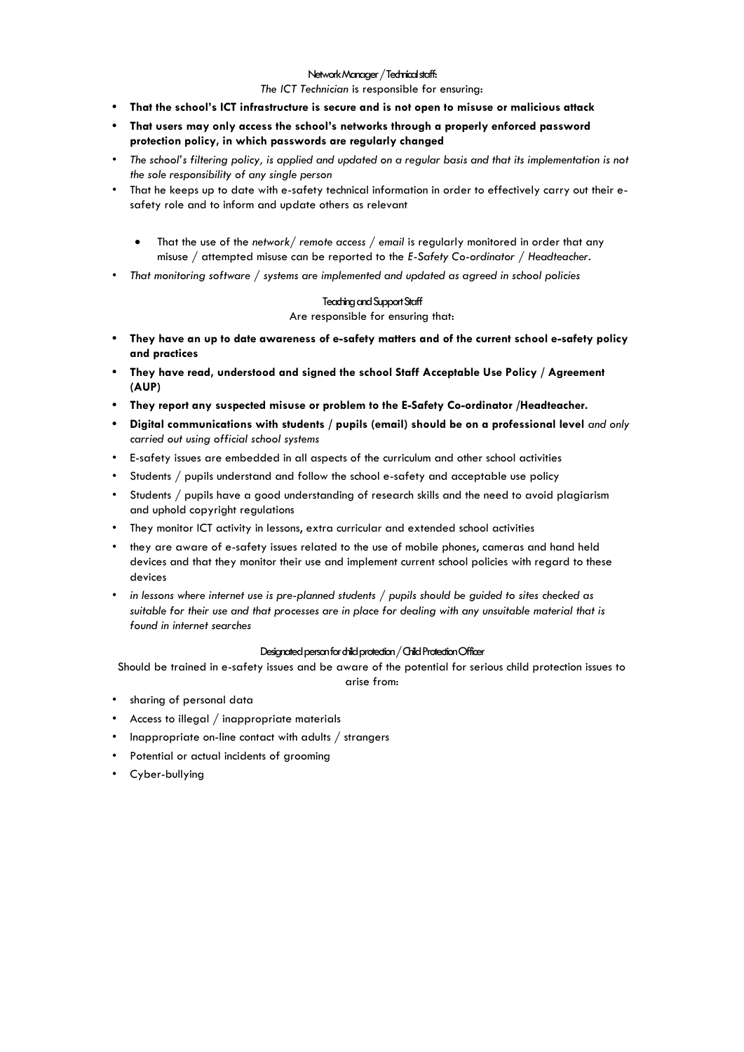#### Network Manager / Technical staff:

#### *The ICT Technician* is responsible for ensuring:

- **• That the school's ICT infrastructure is secure and is not open to misuse or malicious attack**
- **• That users may only access the school's networks through a properly enforced password protection policy, in which passwords are regularly changed**
- The school's filtering policy, is applied and updated on a regular basis and that its implementation is not *the sole responsibility of any single person*
- That he keeps up to date with e-safety technical information in order to effectively carry out their esafety role and to inform and update others as relevant
	- That the use of the *network/ remote access / email* is regularly monitored in order that any misuse / attempted misuse can be reported to the *E-Safety Co-ordinator / Headteacher.*
- *• That monitoring software / systems are implemented and updated as agreed in school policies*

#### Teaching and Support Staff

Are responsible for ensuring that:

- **• They have an up to date awareness of e-safety matters and of the current school e-safety policy and practices**
- **• They have read, understood and signed the school Staff Acceptable Use Policy / Agreement (AUP)**
- **• They report any suspected misuse or problem to the E-Safety Co-ordinator /Headteacher.**
- **• Digital communications with students / pupils (email) should be on a professional level** *and only carried out using official school systems*
- E-safety issues are embedded in all aspects of the curriculum and other school activities
- Students / pupils understand and follow the school e-safety and acceptable use policy
- Students / pupils have a good understanding of research skills and the need to avoid plagiarism and uphold copyright regulations
- They monitor ICT activity in lessons, extra curricular and extended school activities
- they are aware of e-safety issues related to the use of mobile phones, cameras and hand held devices and that they monitor their use and implement current school policies with regard to these devices
- *• in lessons where internet use is pre-planned students / pupils should be guided to sites checked as suitable for their use and that processes are in place for dealing with any unsuitable material that is found in internet searches*

#### Designated person for child protection / Child Protection Officer

Should be trained in e-safety issues and be aware of the potential for serious child protection issues to arise from:

- sharing of personal data
- Access to illegal / inappropriate materials
- Inappropriate on-line contact with adults / strangers
- Potential or actual incidents of grooming
- Cyber-bullying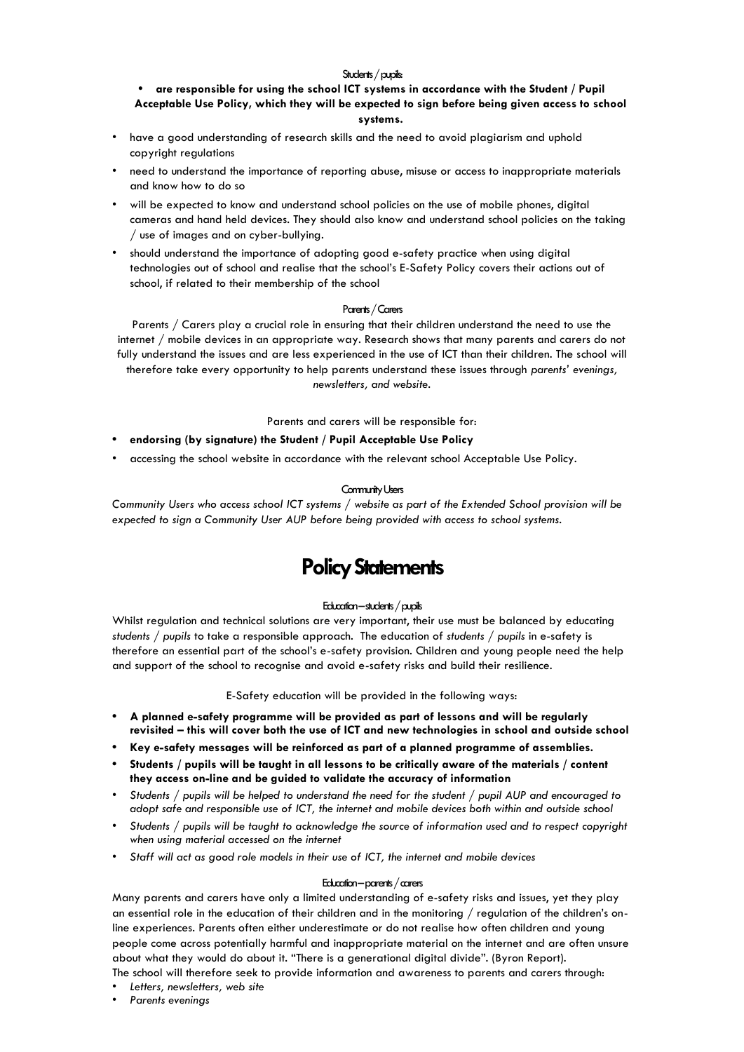#### Students / pupils:

### **• are responsible for using the school ICT systems in accordance with the Student / Pupil**

**Acceptable Use Policy, which they will be expected to sign before being given access to school systems.**

- have a good understanding of research skills and the need to avoid plagiarism and uphold copyright regulations
- need to understand the importance of reporting abuse, misuse or access to inappropriate materials and know how to do so
- will be expected to know and understand school policies on the use of mobile phones, digital cameras and hand held devices. They should also know and understand school policies on the taking / use of images and on cyber-bullying.
- should understand the importance of adopting good e-safety practice when using digital technologies out of school and realise that the school's E-Safety Policy covers their actions out of school, if related to their membership of the school

#### Parents / Carers

Parents / Carers play a crucial role in ensuring that their children understand the need to use the internet / mobile devices in an appropriate way. Research shows that many parents and carers do not fully understand the issues and are less experienced in the use of ICT than their children. The school will therefore take every opportunity to help parents understand these issues through *parents' evenings, newsletters, and website.* 

Parents and carers will be responsible for:

- **• endorsing (by signature) the Student / Pupil Acceptable Use Policy**
- accessing the school website in accordance with the relevant school Acceptable Use Policy.

#### Community Users

*Community Users who access school ICT systems / website as part of the Extended School provision will be expected to sign a Community User AUP before being provided with access to school systems.*

### **Policy Statements**

#### Education –students / pupils

Whilst regulation and technical solutions are very important, their use must be balanced by educating *students / pupils* to take a responsible approach. The education of *students / pupils* in e-safety is therefore an essential part of the school's e-safety provision. Children and young people need the help and support of the school to recognise and avoid e-safety risks and build their resilience.

E-Safety education will be provided in the following ways:

- **• A planned e-safety programme will be provided as part of lessons and will be regularly revisited – this will cover both the use of ICT and new technologies in school and outside school**
- **• Key e-safety messages will be reinforced as part of a planned programme of assemblies.**
- **• Students / pupils will be taught in all lessons to be critically aware of the materials / content they access on-line and be guided to validate the accuracy of information**
- *• Students / pupils will be helped to understand the need for the student / pupil AUP and encouraged to adopt safe and responsible use of ICT, the internet and mobile devices both within and outside school*
- *• Students / pupils will be taught to acknowledge the source of information used and to respect copyright when using material accessed on the internet*
- *• Staff will act as good role models in their use of ICT, the internet and mobile devices*

#### Education –parents / carers

Many parents and carers have only a limited understanding of e-safety risks and issues, yet they play an essential role in the education of their children and in the monitoring / regulation of the children's online experiences. Parents often either underestimate or do not realise how often children and young people come across potentially harmful and inappropriate material on the internet and are often unsure about what they would do about it. "There is a generational digital divide". (Byron Report).

The school will therefore seek to provide information and awareness to parents and carers through:

- *• Letters, newsletters, web site*
- *• Parents evenings*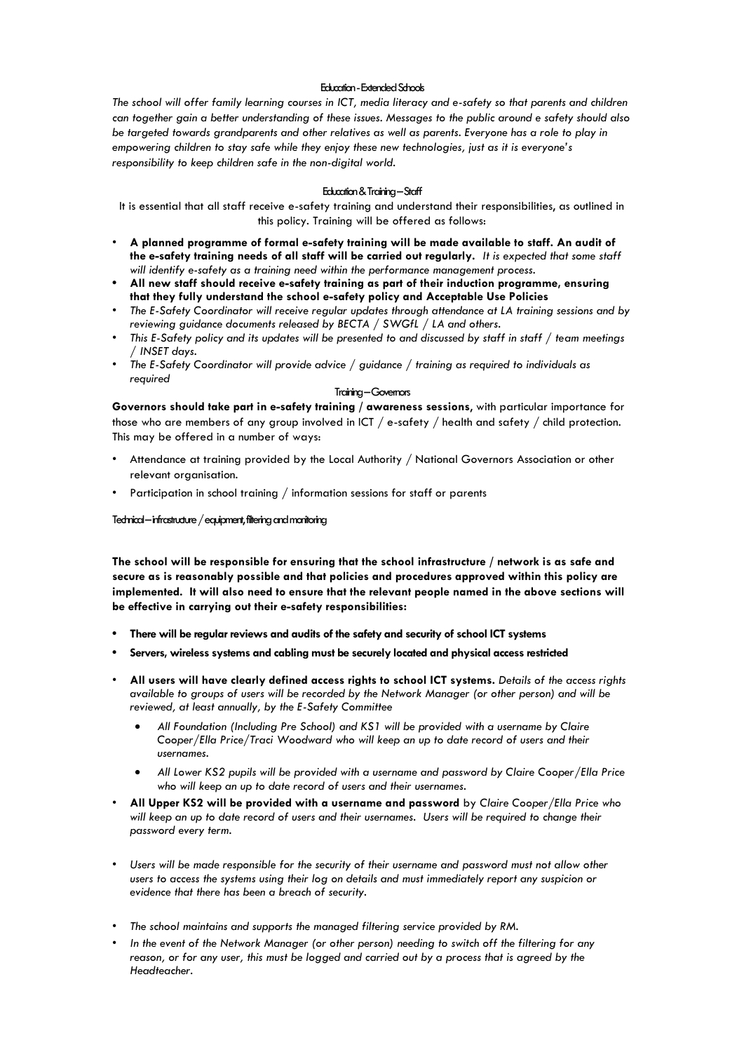#### Education -Extended Schools

*The school will offer family learning courses in ICT, media literacy and e-safety so that parents and children can together gain a better understanding of these issues. Messages to the public around e safety should also be targeted towards grandparents and other relatives as well as parents. Everyone has a role to play in empowering children to stay safe while they enjoy these new technologies, just as it is everyone's responsibility to keep children safe in the non-digital world.*

#### Education & Training –Staff

It is essential that all staff receive e-safety training and understand their responsibilities, as outlined in this policy. Training will be offered as follows:

- **A planned programme of formal e-safety training will be made available to staff. An audit of the e-safety training needs of all staff will be carried out regularly.** *It is expected that some staff will identify e-safety as a training need within the performance management process.*
- **• All new staff should receive e-safety training as part of their induction programme, ensuring that they fully understand the school e-safety policy and Acceptable Use Policies**
- *• The E-Safety Coordinator will receive regular updates through attendance at LA training sessions and by reviewing guidance documents released by BECTA / SWGfL / LA and others.*
- *• This E-Safety policy and its updates will be presented to and discussed by staff in staff / team meetings / INSET days.*
- *• The E-Safety Coordinator will provide advice / guidance / training as required to individuals as required*

#### Training –Governors

**Governors should take part in e-safety training / awareness sessions**, with particular importance for those who are members of any group involved in ICT / e-safety / health and safety / child protection. This may be offered in a number of ways:

- Attendance at training provided by the Local Authority / National Governors Association or other relevant organisation.
- Participation in school training / information sessions for staff or parents

#### Technical –infrastructure / equipment, filtering and monitoring

**The school will be responsible for ensuring that the school infrastructure / network is as safe and secure as is reasonably possible and that policies and procedures approved within this policy are implemented. It will also need to ensure that the relevant people named in the above sections will be effective in carrying out their e-safety responsibilities:**

- **• There will be regular reviews and audits of the safety and security of school ICT systems**
- **• Servers, wireless systems and cabling must be securely located and physical access restricted**
- **All users will have clearly defined access rights to school ICT systems.** *Details of the access rights available to groups of users will be recorded by the Network Manager (or other person) and will be reviewed, at least annually, by the E-Safety Committee*
	- *All Foundation (Including Pre School) and KS1 will be provided with a username by Claire Cooper/Ella Price/Traci Woodward who will keep an up to date record of users and their usernames.*
	- *All Lower KS2 pupils will be provided with a username and password by Claire Cooper/Ella Price who will keep an up to date record of users and their usernames.*
- **All Upper KS2 will be provided with a username and password** by *Claire Cooper/Ella Price who will keep an up to date record of users and their usernames. Users will be required to change their password every term.*
- Users will be made responsible for the security of their username and password must not allow other *users to access the systems using their log on details and must immediately report any suspicion or evidence that there has been a breach of security.*
- *• The school maintains and supports the managed filtering service provided by RM.*
- *• In the event of the Network Manager (or other person) needing to switch off the filtering for any reason, or for any user, this must be logged and carried out by a process that is agreed by the Headteacher.*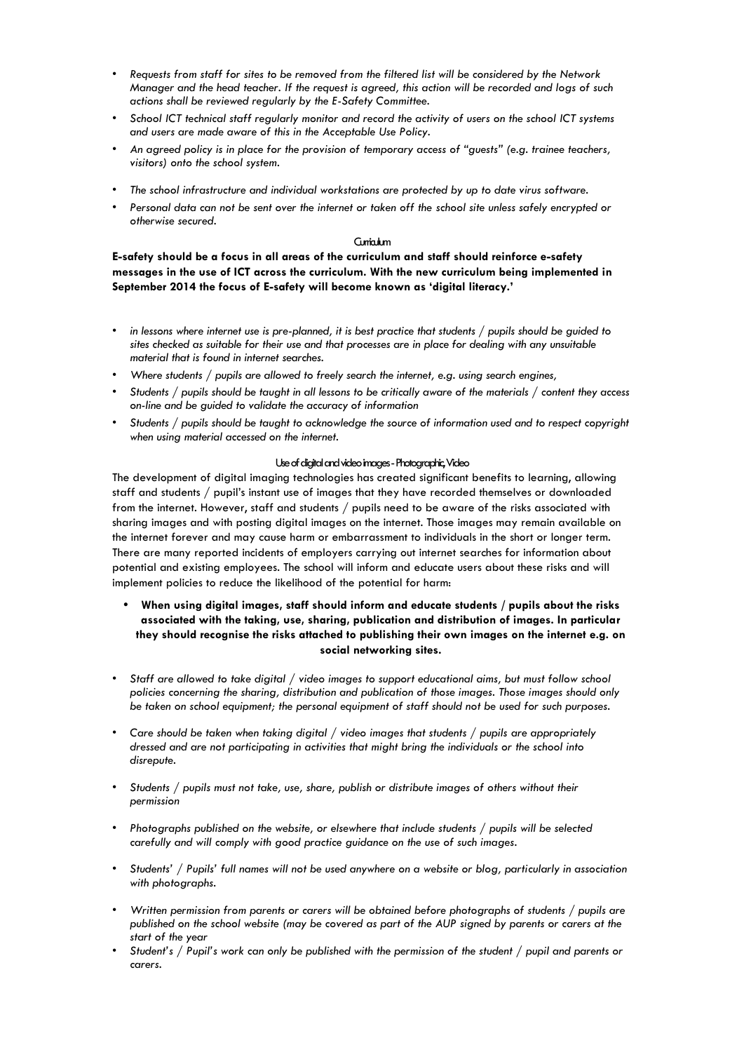- Requests from staff for sites to be removed from the filtered list will be considered by the Network *Manager and the head teacher. If the request is agreed, this action will be recorded and logs of such actions shall be reviewed regularly by the E-Safety Committee.*
- *• School ICT technical staff regularly monitor and record the activity of users on the school ICT systems and users are made aware of this in the Acceptable Use Policy.*
- *• An agreed policy is in place for the provision of temporary access of "guests" (e.g. trainee teachers, visitors) onto the school system.*
- *• The school infrastructure and individual workstations are protected by up to date virus software.*
- *• Personal data can not be sent over the internet or taken off the school site unless safely encrypted or otherwise secured.*

#### Curriculum

**E-safety should be a focus in all areas of the curriculum and staff should reinforce e-safety messages in the use of ICT across the curriculum. With the new curriculum being implemented in September 2014 the focus of E-safety will become known as 'digital literacy.'**

- *• in lessons where internet use is pre-planned, it is best practice that students / pupils should be guided to sites checked as suitable for their use and that processes are in place for dealing with any unsuitable material that is found in internet searches.*
- *• Where students / pupils are allowed to freely search the internet, e.g. using search engines,*
- *• Students / pupils should be taught in all lessons to be critically aware of the materials / content they access on-line and be guided to validate the accuracy of information*
- *• Students / pupils should be taught to acknowledge the source of information used and to respect copyright when using material accessed on the internet.*

#### Use of digital and video images -Photographic, Video

The development of digital imaging technologies has created significant benefits to learning, allowing staff and students / pupil's instant use of images that they have recorded themselves or downloaded from the internet. However, staff and students / pupils need to be aware of the risks associated with sharing images and with posting digital images on the internet. Those images may remain available on the internet forever and may cause harm or embarrassment to individuals in the short or longer term. There are many reported incidents of employers carrying out internet searches for information about potential and existing employees. The school will inform and educate users about these risks and will implement policies to reduce the likelihood of the potential for harm:

#### **• When using digital images, staff should inform and educate students / pupils about the risks associated with the taking, use, sharing, publication and distribution of images. In particular they should recognise the risks attached to publishing their own images on the internet e.g. on social networking sites.**

- *Staff are allowed to take digital / video images to support educational aims, but must follow school policies concerning the sharing, distribution and publication of those images. Those images should only be taken on school equipment; the personal equipment of staff should not be used for such purposes.*
- Care should be taken when taking digital / video images that students / pupils are appropriately *dressed and are not participating in activities that might bring the individuals or the school into disrepute.*
- *Students / pupils must not take, use, share, publish or distribute images of others without their permission*
- *Photographs published on the website, or elsewhere that include students / pupils will be selected carefully and will comply with good practice guidance on the use of such images.*
- *Students' / Pupils' full names will not be used anywhere on a website or blog, particularly in association with photographs.*
- *Written permission from parents or carers will be obtained before photographs of students / pupils are published on the school website (may be covered as part of the AUP signed by parents or carers at the start of the year*
- *Student's / Pupil's work can only be published with the permission of the student / pupil and parents or carers.*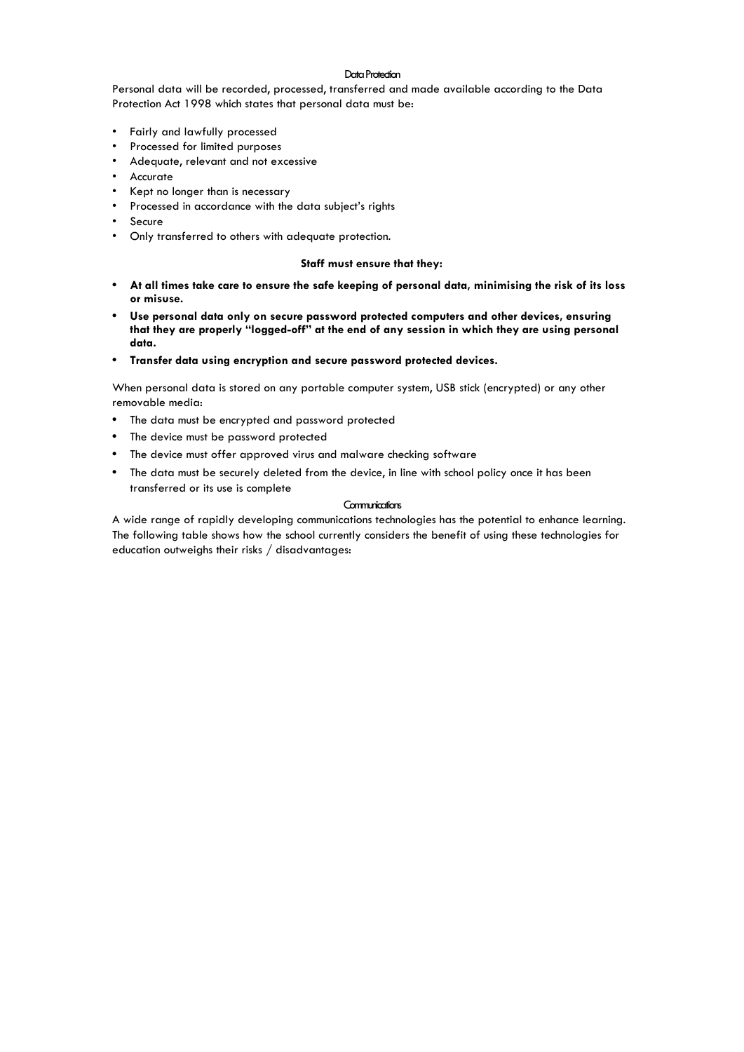#### Data Protection

Personal data will be recorded, processed, transferred and made available according to the Data Protection Act 1998 which states that personal data must be:

- Fairly and lawfully processed
- Processed for limited purposes
- Adequate, relevant and not excessive
- Accurate
- Kept no longer than is necessary
- Processed in accordance with the data subject's rights
- Secure
- Only transferred to others with adequate protection.

#### **Staff must ensure that they:**

- **• At all times take care to ensure the safe keeping of personal data, minimising the risk of its loss or misuse.**
- **• Use personal data only on secure password protected computers and other devices, ensuring that they are properly "logged-off" at the end of any session in which they are using personal data.**
- **• Transfer data using encryption and secure password protected devices.**

When personal data is stored on any portable computer system, USB stick (encrypted) or any other removable media:

- **•** The data must be encrypted and password protected
- **•** The device must be password protected
- **•** The device must offer approved virus and malware checking software
- **•** The data must be securely deleted from the device, in line with school policy once it has been transferred or its use is complete

#### **Communications**

A wide range of rapidly developing communications technologies has the potential to enhance learning. The following table shows how the school currently considers the benefit of using these technologies for education outweighs their risks / disadvantages: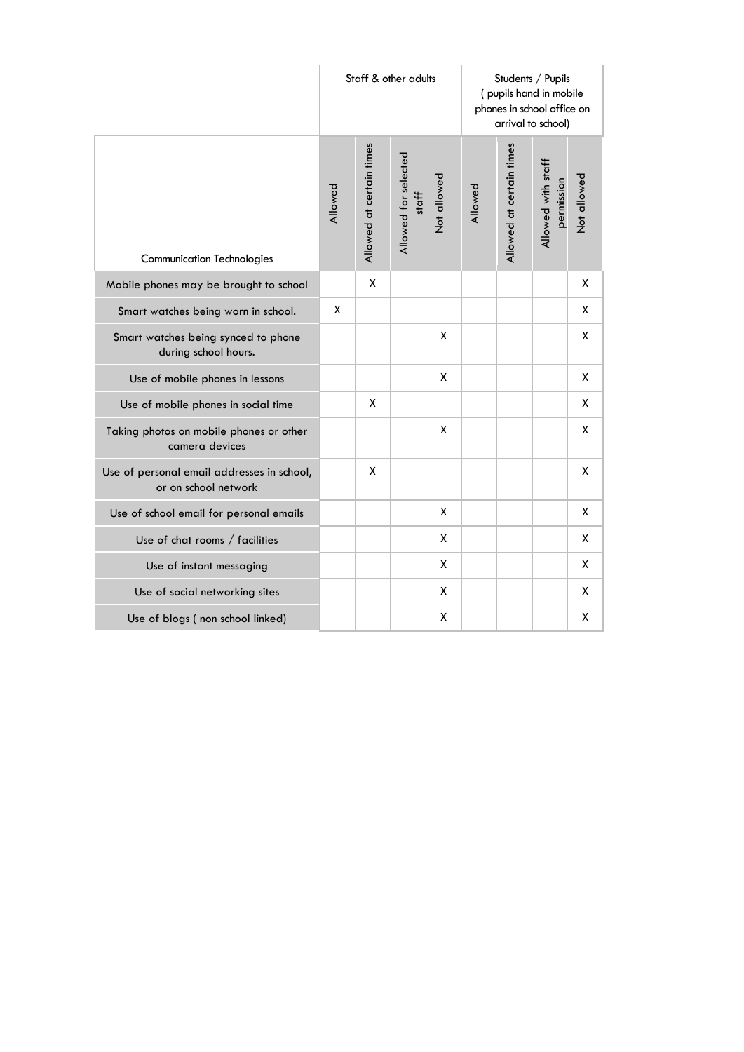|                                                                    |         |                          | Staff & other adults          |             | Students / Pupils<br>(pupils hand in mobile<br>phones in school office on<br>arrival to school) |                          |                                  |                    |  |
|--------------------------------------------------------------------|---------|--------------------------|-------------------------------|-------------|-------------------------------------------------------------------------------------------------|--------------------------|----------------------------------|--------------------|--|
| <b>Communication Technologies</b>                                  | Allowed | Allowed at certain times | Allowed for selected<br>staff | Not allowed | Allowed                                                                                         | Allowed at certain times | Allowed with staff<br>permission | Not allowed        |  |
| Mobile phones may be brought to school                             |         | X                        |                               |             |                                                                                                 |                          |                                  | X                  |  |
| Smart watches being worn in school.                                | X       |                          |                               |             |                                                                                                 |                          |                                  | х                  |  |
| Smart watches being synced to phone<br>during school hours.        |         |                          |                               | X           |                                                                                                 |                          |                                  | X                  |  |
| Use of mobile phones in lessons                                    |         |                          |                               | X           |                                                                                                 |                          |                                  | X                  |  |
| Use of mobile phones in social time                                |         | X                        |                               |             |                                                                                                 |                          |                                  | X                  |  |
| Taking photos on mobile phones or other<br>camera devices          |         |                          |                               | χ           |                                                                                                 |                          |                                  | X                  |  |
| Use of personal email addresses in school,<br>or on school network |         | χ                        |                               |             |                                                                                                 |                          |                                  | $\pmb{\mathsf{X}}$ |  |
| Use of school email for personal emails                            |         |                          |                               | χ           |                                                                                                 |                          |                                  | X                  |  |
| Use of chat rooms / facilities                                     |         |                          |                               | X           |                                                                                                 |                          |                                  | X                  |  |
| Use of instant messaging                                           |         |                          |                               | X           |                                                                                                 |                          |                                  | X                  |  |
| Use of social networking sites                                     |         |                          |                               | Χ           |                                                                                                 |                          |                                  | X                  |  |
| Use of blogs (non school linked)                                   |         |                          |                               | χ           |                                                                                                 |                          |                                  | X                  |  |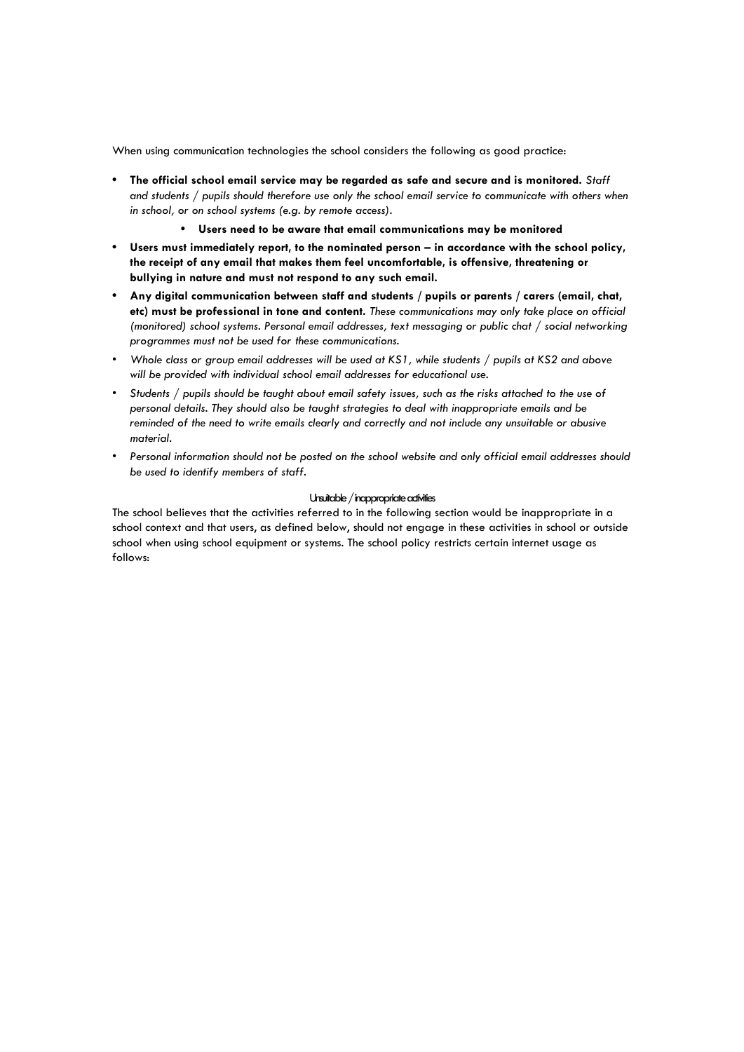When using communication technologies the school considers the following as good practice:

- **• The official school email service may be regarded as safe and secure and is monitored.** *Staff and students / pupils should therefore use only the school email service to communicate with others when in school, or on school systems (e.g. by remote access).*
	- **• Users need to be aware that email communications may be monitored**
- **•** Users must immediately report, to the nominated person in accordance with the school policy, **the receipt of any email that makes them feel uncomfortable, is offensive, threatening or bullying in nature and must not respond to any such email.**
- **• Any digital communication between staff and students / pupils or parents / carers (email, chat, etc) must be professional in tone and content.** *These communications may only take place on official (monitored) school systems. Personal email addresses, text messaging or public chat / social networking programmes must not be used for these communications.*
- *• Whole class or group email addresses will be used at KS1, while students / pupils at KS2 and above will be provided with individual school email addresses for educational use.*
- *• Students / pupils should be taught about email safety issues, such as the risks attached to the use of personal details. They should also be taught strategies to deal with inappropriate emails and be reminded of the need to write emails clearly and correctly and not include any unsuitable or abusive material.*
- *• Personal information should not be posted on the school website and only official email addresses should be used to identify members of staff.*

#### Unsuitable / inappropriate activities

The school believes that the activities referred to in the following section would be inappropriate in a school context and that users, as defined below, should not engage in these activities in school or outside school when using school equipment or systems. The school policy restricts certain internet usage as follows: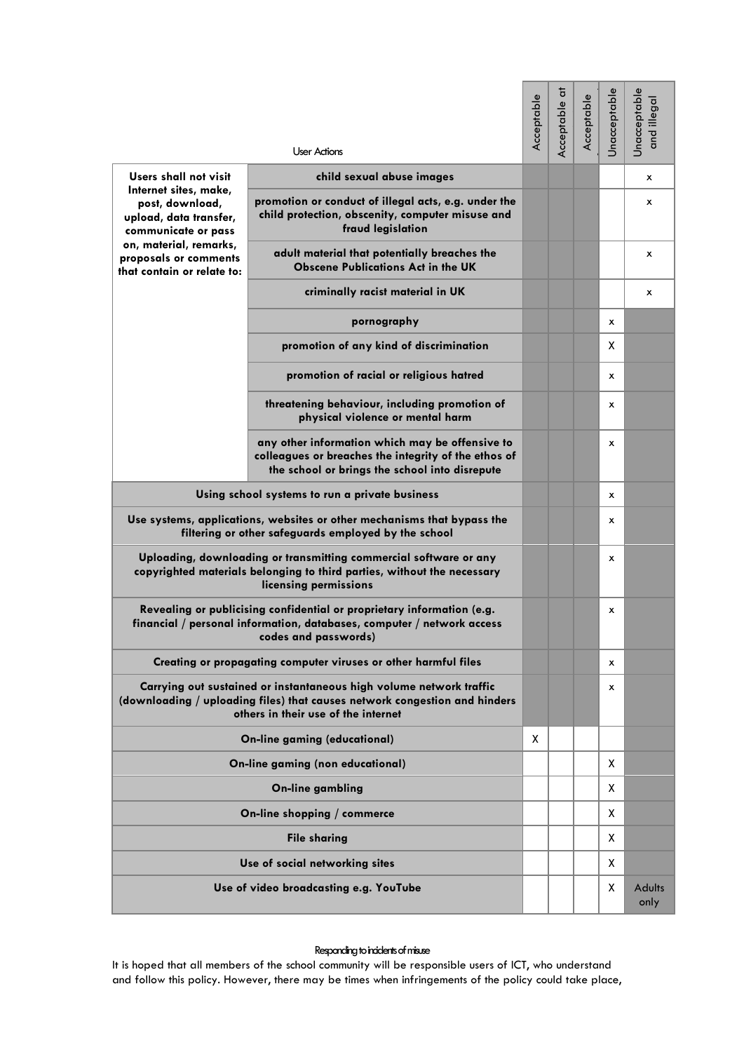|                                                                                                                                                                                          | <b>User Actions</b>                                                                                                                                       | Acceptable | Acceptable at | Acceptable | Unacceptable | Unacceptable<br>and illegal |
|------------------------------------------------------------------------------------------------------------------------------------------------------------------------------------------|-----------------------------------------------------------------------------------------------------------------------------------------------------------|------------|---------------|------------|--------------|-----------------------------|
| Users shall not visit                                                                                                                                                                    | child sexual abuse images                                                                                                                                 |            |               |            |              | x                           |
| Internet sites, make,<br>post, download,<br>upload, data transfer,<br>communicate or pass<br>on, material, remarks,<br>proposals or comments<br>that contain or relate to:               | promotion or conduct of illegal acts, e.g. under the<br>child protection, obscenity, computer misuse and<br>fraud legislation                             |            |               |            |              | x                           |
|                                                                                                                                                                                          | adult material that potentially breaches the<br><b>Obscene Publications Act in the UK</b>                                                                 |            |               |            |              | x                           |
|                                                                                                                                                                                          | criminally racist material in UK                                                                                                                          |            |               |            |              | x                           |
|                                                                                                                                                                                          | pornography                                                                                                                                               |            |               |            | x            |                             |
|                                                                                                                                                                                          | promotion of any kind of discrimination                                                                                                                   |            |               |            | x            |                             |
|                                                                                                                                                                                          | promotion of racial or religious hatred                                                                                                                   |            |               |            | $\mathsf{x}$ |                             |
|                                                                                                                                                                                          | threatening behaviour, including promotion of<br>physical violence or mental harm                                                                         |            |               |            | x            |                             |
|                                                                                                                                                                                          | any other information which may be offensive to<br>colleagues or breaches the integrity of the ethos of<br>the school or brings the school into disrepute |            |               |            | x            |                             |
| Using school systems to run a private business                                                                                                                                           |                                                                                                                                                           |            |               |            | x            |                             |
| Use systems, applications, websites or other mechanisms that bypass the<br>filtering or other safeguards employed by the school                                                          |                                                                                                                                                           |            |               |            | x            |                             |
| Uploading, downloading or transmitting commercial software or any<br>copyrighted materials belonging to third parties, without the necessary<br>licensing permissions                    |                                                                                                                                                           |            |               |            | x            |                             |
| Revealing or publicising confidential or proprietary information (e.g.<br>financial / personal information, databases, computer / network access<br>codes and passwords)                 |                                                                                                                                                           |            |               |            | x            |                             |
| Creating or propagating computer viruses or other harmful files                                                                                                                          |                                                                                                                                                           |            |               |            | x            |                             |
| Carrying out sustained or instantaneous high volume network traffic<br>(downloading / uploading files) that causes network congestion and hinders<br>others in their use of the internet |                                                                                                                                                           |            |               |            | x            |                             |
| <b>On-line gaming (educational)</b>                                                                                                                                                      |                                                                                                                                                           | x          |               |            |              |                             |
| <b>On-line gaming (non educational)</b>                                                                                                                                                  |                                                                                                                                                           |            |               |            | X            |                             |
| <b>On-line gambling</b>                                                                                                                                                                  |                                                                                                                                                           |            |               |            | X            |                             |
| On-line shopping / commerce                                                                                                                                                              |                                                                                                                                                           |            |               |            | x            |                             |
| <b>File sharing</b>                                                                                                                                                                      |                                                                                                                                                           |            |               |            | X            |                             |
| Use of social networking sites                                                                                                                                                           |                                                                                                                                                           |            |               |            | X            |                             |
| Use of video broadcasting e.g. YouTube                                                                                                                                                   |                                                                                                                                                           |            |               |            | X            | <b>Adults</b><br>only       |

#### Responding to incidents of misuse

It is hoped that all members of the school community will be responsible users of ICT, who understand and follow this policy. However, there may be times when infringements of the policy could take place,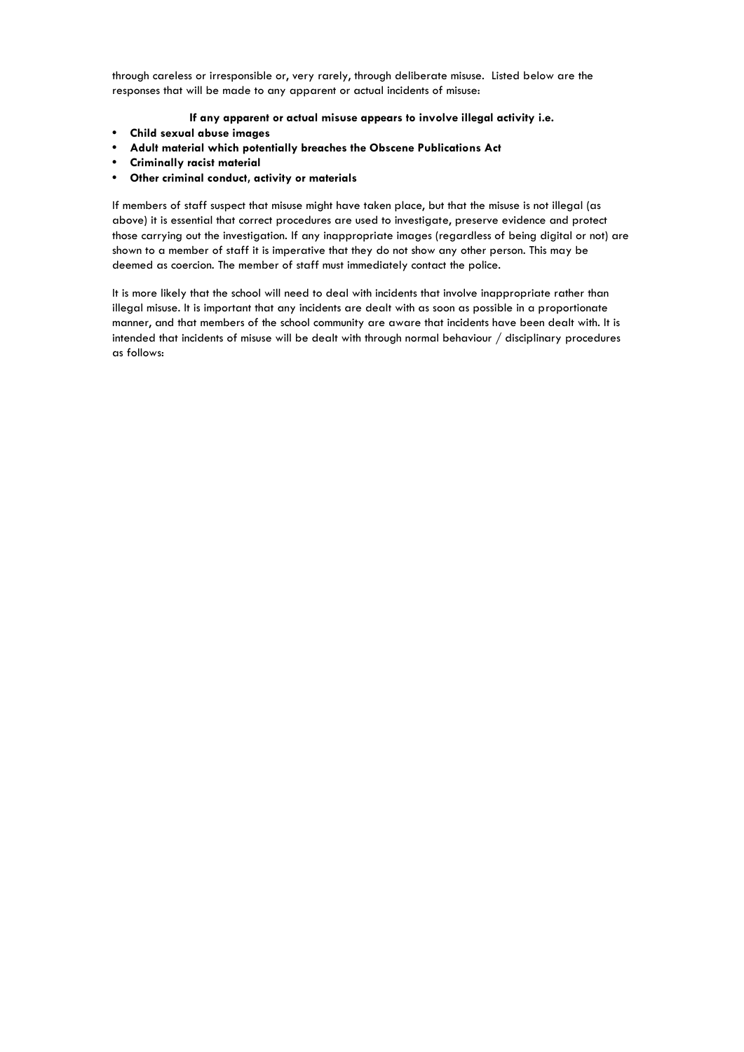through careless or irresponsible or, very rarely, through deliberate misuse. Listed below are the responses that will be made to any apparent or actual incidents of misuse:

#### **If any apparent or actual misuse appears to involve illegal activity i.e.**

- **• Child sexual abuse images**
- **• Adult material which potentially breaches the Obscene Publications Act**
- **• Criminally racist material**
- **• Other criminal conduct, activity or materials**

If members of staff suspect that misuse might have taken place, but that the misuse is not illegal (as above) it is essential that correct procedures are used to investigate, preserve evidence and protect those carrying out the investigation. If any inappropriate images (regardless of being digital or not) are shown to a member of staff it is imperative that they do not show any other person. This may be deemed as coercion. The member of staff must immediately contact the police.

It is more likely that the school will need to deal with incidents that involve inappropriate rather than illegal misuse. It is important that any incidents are dealt with as soon as possible in a proportionate manner, and that members of the school community are aware that incidents have been dealt with. It is intended that incidents of misuse will be dealt with through normal behaviour / disciplinary procedures as follows: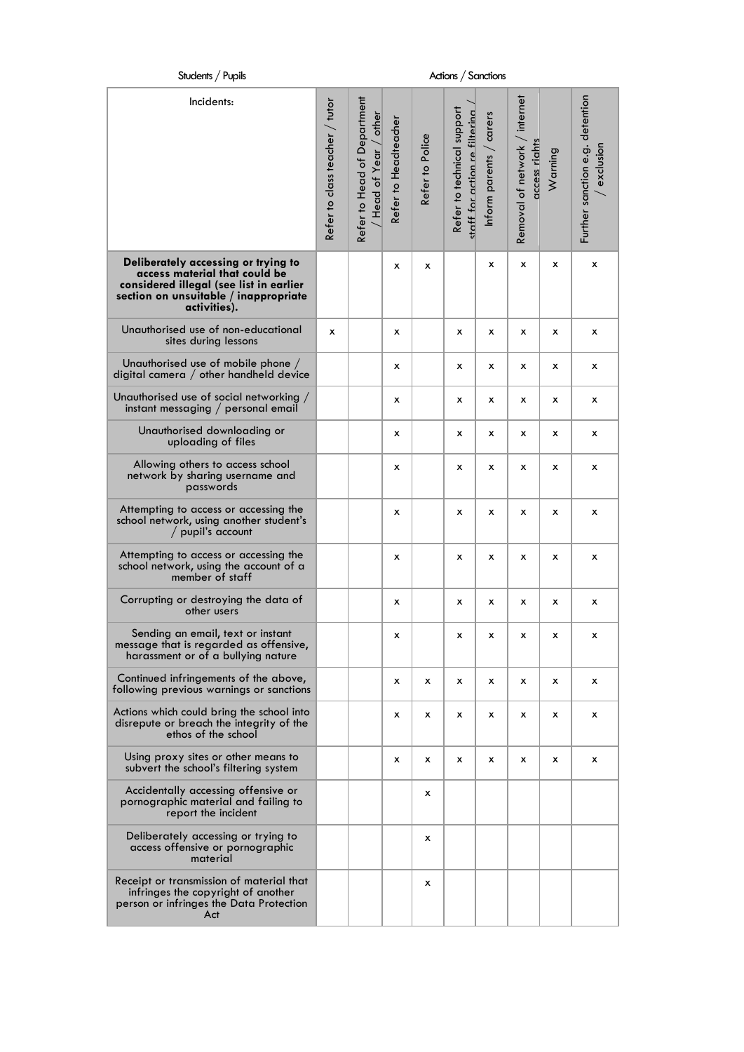| Students / Pupils                                                                                                                                                        | Actions / Sanctions            |                                                        |                      |                 |                                                             |                         |                                                   |              |                                              |
|--------------------------------------------------------------------------------------------------------------------------------------------------------------------------|--------------------------------|--------------------------------------------------------|----------------------|-----------------|-------------------------------------------------------------|-------------------------|---------------------------------------------------|--------------|----------------------------------------------|
| Incidents:                                                                                                                                                               | Refer to class teacher / tutor | Refer to Head of Department<br>/ other<br>Head of Year | Refer to Headteacher | Refer to Police | Refer to technical support<br>staff for action re filterina | Inform parents / carers | internet<br>Removal of network /<br>access riahts | Warning      | Further sanction e.g. detention<br>exclusion |
| Deliberately accessing or trying to<br>access material that could be<br>considered illegal (see list in earlier<br>section on unsuitable / inappropriate<br>activities). |                                |                                                        | x                    | X               |                                                             | x                       | x                                                 | x            | x                                            |
| Unauthorised use of non-educational<br>sites during lessons                                                                                                              | x                              |                                                        | х                    |                 | x                                                           | x                       | x                                                 | x            | x                                            |
| Unauthorised use of mobile phone /<br>digital camera / other handheld device                                                                                             |                                |                                                        | x                    |                 | x                                                           | x                       | x                                                 | x            | x                                            |
| Unauthorised use of social networking $/$<br>instant messaging / personal email                                                                                          |                                |                                                        | х                    |                 | x                                                           | х                       | x                                                 | x            | х                                            |
| Unauthorised downloading or<br>uploading of files                                                                                                                        |                                |                                                        | x                    |                 | x                                                           | x                       | x                                                 | x            | x                                            |
| Allowing others to access school<br>network by sharing username and<br>passwords                                                                                         |                                |                                                        | х                    |                 | x                                                           | x                       | x                                                 | x            | x                                            |
| Attempting to access or accessing the<br>school network, using another student's<br>/ pupil's account                                                                    |                                |                                                        | х                    |                 | x                                                           | x                       | x                                                 | x            | x                                            |
| Attempting to access or accessing the<br>school network, using the account of a<br>member of staff                                                                       |                                |                                                        | х                    |                 | x                                                           | х                       | x                                                 | x            | x                                            |
| Corrupting or destroying the data of<br>other users                                                                                                                      |                                |                                                        | х                    |                 | х                                                           | х                       | x                                                 | x            | x                                            |
| Sending an email, text or instant<br>message that is regarded as offensive,<br>harassment or of a bullying nature                                                        |                                |                                                        | x                    |                 | x                                                           | x                       | x                                                 | x            | х                                            |
| Continued infringements of the above,<br>following previous warnings or sanctions                                                                                        |                                |                                                        | x                    | x               | x                                                           | х                       | x                                                 | x            | x                                            |
| Actions which could bring the school into<br>disrepute or breach the integrity of the<br>ethos of the school                                                             |                                |                                                        | x                    | x               | x                                                           | х                       | x                                                 | x            | х                                            |
| Using proxy sites or other means to<br>subvert the school's filtering system                                                                                             |                                |                                                        | х                    | x               | x                                                           | х                       | x                                                 | $\mathsf{x}$ | х                                            |
| Accidentally accessing offensive or<br>pornographic material and failing to<br>report the incident                                                                       |                                |                                                        |                      | x               |                                                             |                         |                                                   |              |                                              |
| Deliberately accessing or trying to<br>access offensive or pornographic<br>material                                                                                      |                                |                                                        |                      | x               |                                                             |                         |                                                   |              |                                              |
| Receipt or transmission of material that<br>infringes the copyright of another<br>person or infringes the Data Protection<br>Act                                         |                                |                                                        |                      | x               |                                                             |                         |                                                   |              |                                              |